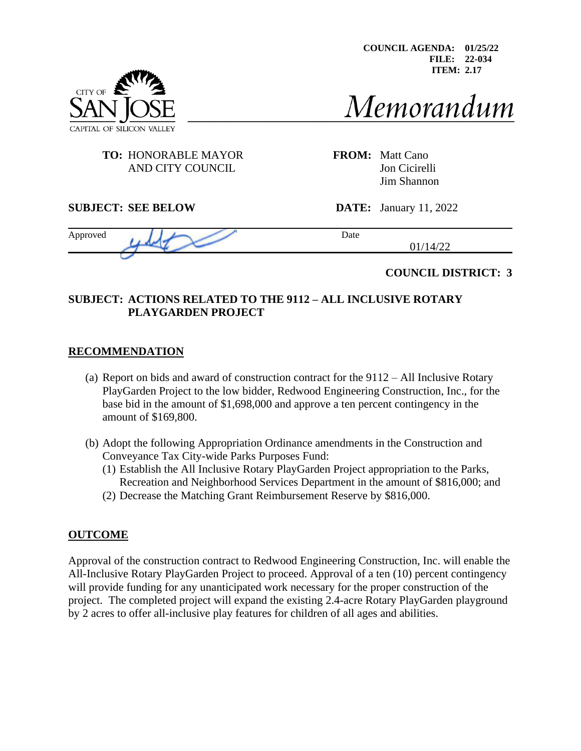**COUNCIL AGENDA: 01/25/22 FILE: 22-034 ITEM: 2.17** 

# CITY OF CAPITAL OF SILICON VA

Memorandum

## **TO:** HONORABLE MAYOR **FROM:** Matt Cano AND CITY COUNCIL Jon Cicirelli

Approved Date

Jim Shannon

#### **SUBJECT: SEE BELOW DATE:** January 11, 2022

01/14/22

## **COUNCIL DISTRICT: 3**

## **SUBJECT: ACTIONS RELATED TO THE 9112 – ALL INCLUSIVE ROTARY PLAYGARDEN PROJECT**

## **RECOMMENDATION**

- (a) Report on bids and award of construction contract for the 9112 All Inclusive Rotary PlayGarden Project to the low bidder, Redwood Engineering Construction, Inc., for the base bid in the amount of \$1,698,000 and approve a ten percent contingency in the amount of \$169,800.
- (b) Adopt the following Appropriation Ordinance amendments in the Construction and Conveyance Tax City-wide Parks Purposes Fund:
	- (1) Establish the All Inclusive Rotary PlayGarden Project appropriation to the Parks, Recreation and Neighborhood Services Department in the amount of \$816,000; and
	- (2) Decrease the Matching Grant Reimbursement Reserve by \$816,000.

# **OUTCOME**

Approval of the construction contract to Redwood Engineering Construction, Inc. will enable the All-Inclusive Rotary PlayGarden Project to proceed. Approval of a ten (10) percent contingency will provide funding for any unanticipated work necessary for the proper construction of the project. The completed project will expand the existing 2.4-acre Rotary PlayGarden playground by 2 acres to offer all-inclusive play features for children of all ages and abilities.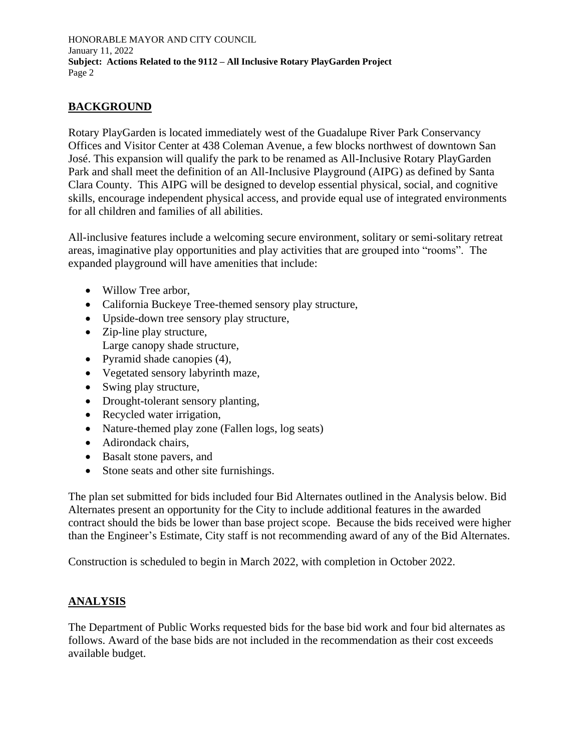# **BACKGROUND**

Rotary PlayGarden is located immediately west of the Guadalupe River Park Conservancy Offices and Visitor Center at 438 Coleman Avenue, a few blocks northwest of downtown San José. This expansion will qualify the park to be renamed as All-Inclusive Rotary PlayGarden Park and shall meet the definition of an All-Inclusive Playground (AIPG) as defined by Santa Clara County. This AIPG will be designed to develop essential physical, social, and cognitive skills, encourage independent physical access, and provide equal use of integrated environments for all children and families of all abilities.

All-inclusive features include a welcoming secure environment, solitary or semi-solitary retreat areas, imaginative play opportunities and play activities that are grouped into "rooms". The expanded playground will have amenities that include:

- Willow Tree arbor,
- California Buckeye Tree-themed sensory play structure,
- Upside-down tree sensory play structure,
- Zip-line play structure, Large canopy shade structure,
- 
- Pyramid shade canopies (4),
- Vegetated sensory labyrinth maze,
- Swing play structure,
- Drought-tolerant sensory planting,
- Recycled water irrigation,
- Nature-themed play zone (Fallen logs, log seats)
- Adirondack chairs,
- Basalt stone pavers, and
- Stone seats and other site furnishings.

The plan set submitted for bids included four Bid Alternates outlined in the Analysis below. Bid Alternates present an opportunity for the City to include additional features in the awarded contract should the bids be lower than base project scope. Because the bids received were higher than the Engineer's Estimate, City staff is not recommending award of any of the Bid Alternates.

Construction is scheduled to begin in March 2022, with completion in October 2022.

## **ANALYSIS**

The Department of Public Works requested bids for the base bid work and four bid alternates as follows. Award of the base bids are not included in the recommendation as their cost exceeds available budget.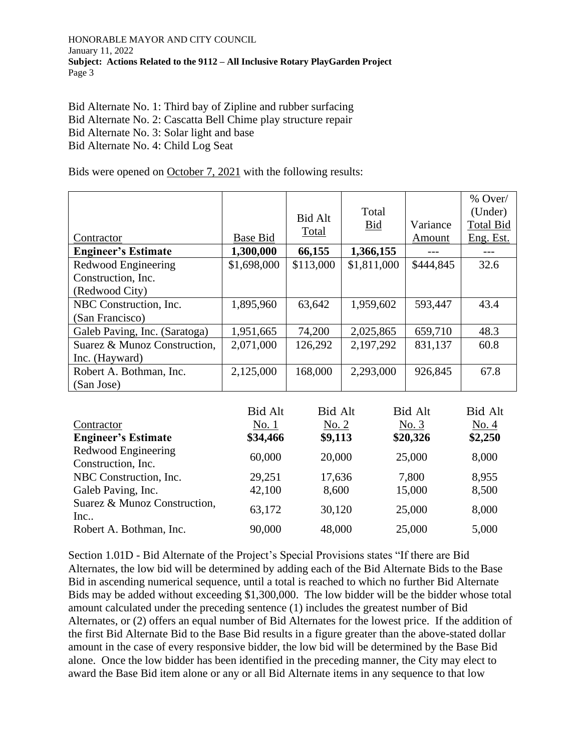Bid Alternate No. 1: Third bay of Zipline and rubber surfacing Bid Alternate No. 2: Cascatta Bell Chime play structure repair Bid Alternate No. 3: Solar light and base Bid Alternate No. 4: Child Log Seat

Bids were opened on October 7, 2021 with the following results:

| Contractor                    | <b>Base Bid</b> | <b>Bid Alt</b><br>Total | Total<br><b>Bid</b> | Variance<br>Amount | $%$ Over/<br>(Under)<br><b>Total Bid</b><br>Eng. Est. |
|-------------------------------|-----------------|-------------------------|---------------------|--------------------|-------------------------------------------------------|
| <b>Engineer's Estimate</b>    | 1,300,000       | 66,155                  | 1,366,155           |                    |                                                       |
| Redwood Engineering           | \$1,698,000     | \$113,000               | \$1,811,000         | \$444,845          | 32.6                                                  |
| Construction, Inc.            |                 |                         |                     |                    |                                                       |
| (Redwood City)                |                 |                         |                     |                    |                                                       |
| NBC Construction, Inc.        | 1,895,960       | 63,642                  | 1,959,602           | 593,447            | 43.4                                                  |
| (San Francisco)               |                 |                         |                     |                    |                                                       |
| Galeb Paving, Inc. (Saratoga) | 1,951,665       | 74,200                  | 2,025,865           | 659,710            | 48.3                                                  |
| Suarez & Munoz Construction,  | 2,071,000       | 126,292                 | 2,197,292           | 831,137            | 60.8                                                  |
| Inc. (Hayward)                |                 |                         |                     |                    |                                                       |
| Robert A. Bothman, Inc.       | 2,125,000       | 168,000                 | 2,293,000           | 926,845            | 67.8                                                  |
| (San Jose)                    |                 |                         |                     |                    |                                                       |

| <b>Bid Alt</b> |
|----------------|
| No. 4          |
| \$2,250        |
| 8,000          |
|                |
| 8,955          |
| 8,500          |
| 8,000          |
| 5,000          |
|                |

Section 1.01D - Bid Alternate of the Project's Special Provisions states "If there are Bid Alternates, the low bid will be determined by adding each of the Bid Alternate Bids to the Base Bid in ascending numerical sequence, until a total is reached to which no further Bid Alternate Bids may be added without exceeding \$1,300,000. The low bidder will be the bidder whose total amount calculated under the preceding sentence (1) includes the greatest number of Bid Alternates, or (2) offers an equal number of Bid Alternates for the lowest price. If the addition of the first Bid Alternate Bid to the Base Bid results in a figure greater than the above-stated dollar amount in the case of every responsive bidder, the low bid will be determined by the Base Bid alone. Once the low bidder has been identified in the preceding manner, the City may elect to award the Base Bid item alone or any or all Bid Alternate items in any sequence to that low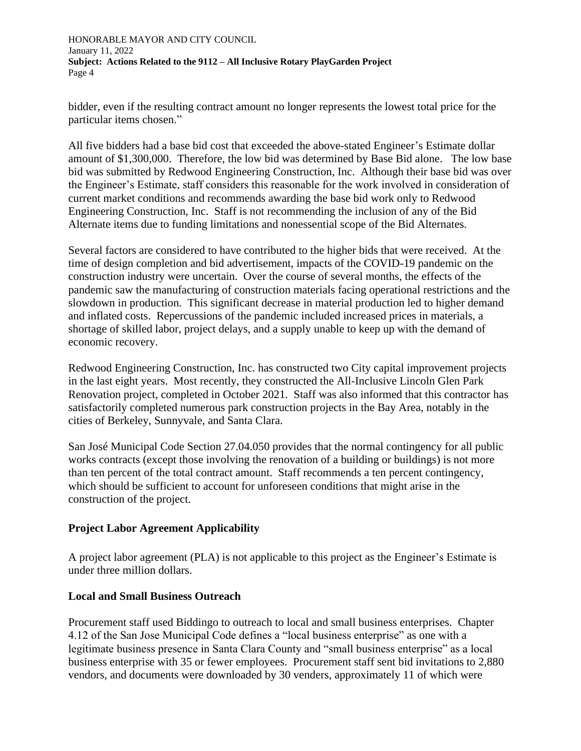bidder, even if the resulting contract amount no longer represents the lowest total price for the particular items chosen."

All five bidders had a base bid cost that exceeded the above-stated Engineer's Estimate dollar amount of \$1,300,000. Therefore, the low bid was determined by Base Bid alone. The low base bid was submitted by Redwood Engineering Construction, Inc. Although their base bid was over the Engineer's Estimate, staff considers this reasonable for the work involved in consideration of current market conditions and recommends awarding the base bid work only to Redwood Engineering Construction, Inc. Staff is not recommending the inclusion of any of the Bid Alternate items due to funding limitations and nonessential scope of the Bid Alternates.

Several factors are considered to have contributed to the higher bids that were received. At the time of design completion and bid advertisement, impacts of the COVID-19 pandemic on the construction industry were uncertain. Over the course of several months, the effects of the pandemic saw the manufacturing of construction materials facing operational restrictions and the slowdown in production. This significant decrease in material production led to higher demand and inflated costs. Repercussions of the pandemic included increased prices in materials, a shortage of skilled labor, project delays, and a supply unable to keep up with the demand of economic recovery.

Redwood Engineering Construction, Inc. has constructed two City capital improvement projects in the last eight years. Most recently, they constructed the All-Inclusive Lincoln Glen Park Renovation project, completed in October 2021. Staff was also informed that this contractor has satisfactorily completed numerous park construction projects in the Bay Area, notably in the cities of Berkeley, Sunnyvale, and Santa Clara.

San José Municipal Code Section 27.04.050 provides that the normal contingency for all public works contracts (except those involving the renovation of a building or buildings) is not more than ten percent of the total contract amount. Staff recommends a ten percent contingency, which should be sufficient to account for unforeseen conditions that might arise in the construction of the project.

## **Project Labor Agreement Applicability**

A project labor agreement (PLA) is not applicable to this project as the Engineer's Estimate is under three million dollars.

## **Local and Small Business Outreach**

Procurement staff used Biddingo to outreach to local and small business enterprises. Chapter 4.12 of the San Jose Municipal Code defines a "local business enterprise" as one with a legitimate business presence in Santa Clara County and "small business enterprise" as a local business enterprise with 35 or fewer employees. Procurement staff sent bid invitations to 2,880 vendors, and documents were downloaded by 30 venders, approximately 11 of which were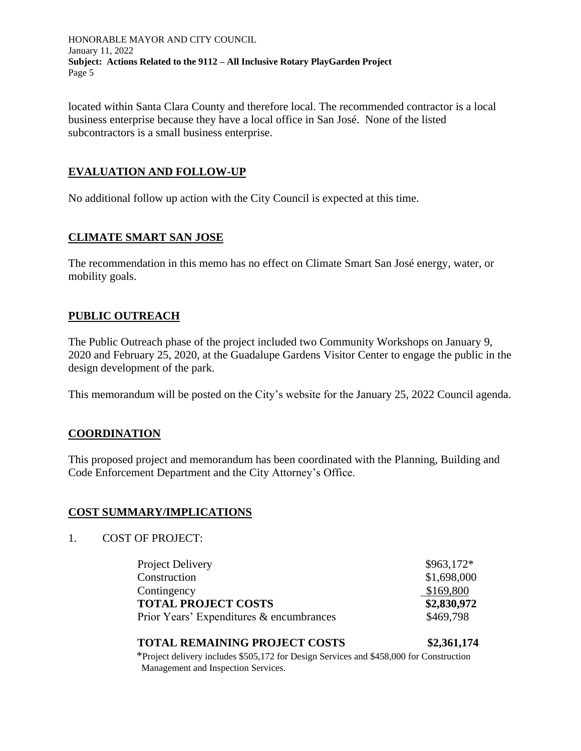located within Santa Clara County and therefore local. The recommended contractor is a local business enterprise because they have a local office in San José. None of the listed subcontractors is a small business enterprise.

## **EVALUATION AND FOLLOW-UP**

No additional follow up action with the City Council is expected at this time.

## **CLIMATE SMART SAN JOSE**

The recommendation in this memo has no effect on Climate Smart San José energy, water, or mobility goals.

## **PUBLIC OUTREACH**

The Public Outreach phase of the project included two Community Workshops on January 9, 2020 and February 25, 2020, at the Guadalupe Gardens Visitor Center to engage the public in the design development of the park.

This memorandum will be posted on the City's website for the January 25, 2022 Council agenda.

## **COORDINATION**

This proposed project and memorandum has been coordinated with the Planning, Building and Code Enforcement Department and the City Attorney's Office.

## **COST SUMMARY/IMPLICATIONS**

1. COST OF PROJECT:

| Project Delivery                         | $$963,172*$ |
|------------------------------------------|-------------|
| Construction                             | \$1,698,000 |
| Contingency                              | \$169,800   |
| <b>TOTAL PROJECT COSTS</b>               | \$2,830,972 |
| Prior Years' Expenditures & encumbrances | \$469,798   |

#### **TOTAL REMAINING PROJECT COSTS \$2,361,174**

\*Project delivery includes \$505,172 for Design Services and \$458,000 for Construction Management and Inspection Services.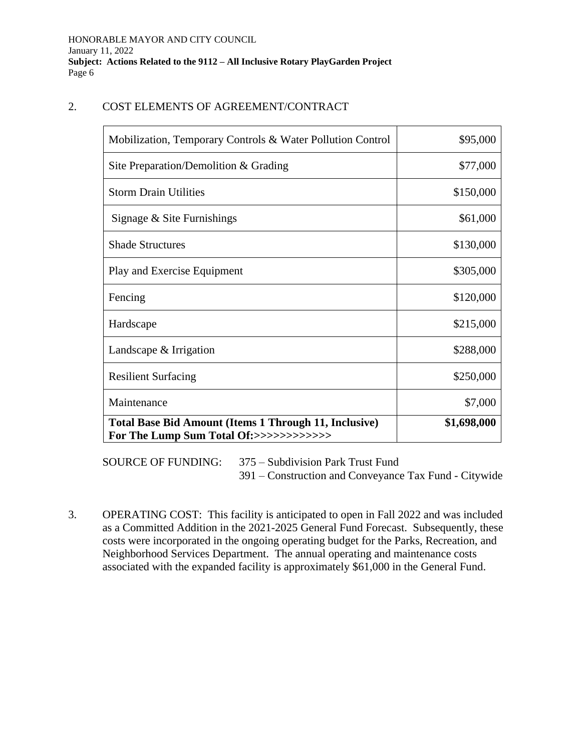#### 2. COST ELEMENTS OF AGREEMENT/CONTRACT

| Mobilization, Temporary Controls & Water Pollution Control                                              | \$95,000    |
|---------------------------------------------------------------------------------------------------------|-------------|
| Site Preparation/Demolition $&$ Grading                                                                 | \$77,000    |
| <b>Storm Drain Utilities</b>                                                                            | \$150,000   |
| Signage $&$ Site Furnishings                                                                            | \$61,000    |
| <b>Shade Structures</b>                                                                                 | \$130,000   |
| Play and Exercise Equipment                                                                             | \$305,000   |
| Fencing                                                                                                 | \$120,000   |
| Hardscape                                                                                               | \$215,000   |
| Landscape & Irrigation                                                                                  | \$288,000   |
| <b>Resilient Surfacing</b>                                                                              | \$250,000   |
| Maintenance                                                                                             | \$7,000     |
| <b>Total Base Bid Amount (Items 1 Through 11, Inclusive)</b><br>For The Lump Sum Total Of:>>>>>>>>>>>>> | \$1,698,000 |

SOURCE OF FUNDING: 375 – Subdivision Park Trust Fund 391 – Construction and Conveyance Tax Fund - Citywide

3. OPERATING COST: This facility is anticipated to open in Fall 2022 and was included as a Committed Addition in the 2021-2025 General Fund Forecast. Subsequently, these costs were incorporated in the ongoing operating budget for the Parks, Recreation, and Neighborhood Services Department. The annual operating and maintenance costs associated with the expanded facility is approximately \$61,000 in the General Fund.